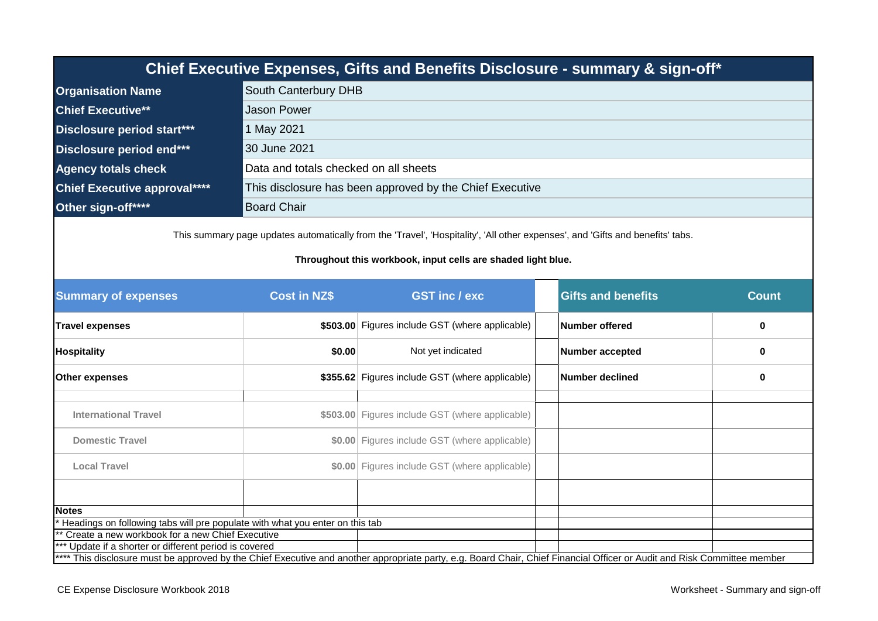| Chief Executive Expenses, Gifts and Benefits Disclosure - summary & sign-off*                                                                                                                  |                                                          |  |  |  |
|------------------------------------------------------------------------------------------------------------------------------------------------------------------------------------------------|----------------------------------------------------------|--|--|--|
| <b>Organisation Name</b>                                                                                                                                                                       | South Canterbury DHB                                     |  |  |  |
| <b>Chief Executive**</b>                                                                                                                                                                       | <b>Jason Power</b>                                       |  |  |  |
| Disclosure period start***                                                                                                                                                                     | 1 May 2021                                               |  |  |  |
| Disclosure period end***                                                                                                                                                                       | 30 June 2021                                             |  |  |  |
| <b>Agency totals check</b>                                                                                                                                                                     | Data and totals checked on all sheets                    |  |  |  |
| <b>Chief Executive approval****</b>                                                                                                                                                            | This disclosure has been approved by the Chief Executive |  |  |  |
| Other sign-off****                                                                                                                                                                             | <b>Board Chair</b>                                       |  |  |  |
| This summary page updates automatically from the 'Travel', 'Hospitality', 'All other expenses', and 'Gifts and benefits' tabs.<br>Throughout this workbook, input cells are shaded light blue. |                                                          |  |  |  |

| <b>Summary of expenses</b>                                                                                                                                               | <b>Cost in NZ\$</b> | <b>GST inc/exc</b>                                    |  | <b>Gifts and benefits</b> | <b>Count</b> |
|--------------------------------------------------------------------------------------------------------------------------------------------------------------------------|---------------------|-------------------------------------------------------|--|---------------------------|--------------|
| <b>Travel expenses</b>                                                                                                                                                   |                     | \$503.00 Figures include GST (where applicable)       |  | Number offered            | $\bf{0}$     |
| <b>Hospitality</b>                                                                                                                                                       |                     | Not yet indicated<br><b>Number accepted</b><br>\$0.00 |  | $\bf{0}$                  |              |
| <b>Other expenses</b>                                                                                                                                                    |                     | \$355.62 Figures include GST (where applicable)       |  | Number declined           | 0            |
|                                                                                                                                                                          |                     |                                                       |  |                           |              |
| <b>International Travel</b>                                                                                                                                              |                     | \$503.00 Figures include GST (where applicable)       |  |                           |              |
| <b>Domestic Travel</b>                                                                                                                                                   |                     | \$0.00 Figures include GST (where applicable)         |  |                           |              |
| <b>Local Travel</b>                                                                                                                                                      |                     | \$0.00 Figures include GST (where applicable)         |  |                           |              |
|                                                                                                                                                                          |                     |                                                       |  |                           |              |
| <b>Notes</b>                                                                                                                                                             |                     |                                                       |  |                           |              |
| Headings on following tabs will pre populate with what you enter on this tab                                                                                             |                     |                                                       |  |                           |              |
| ** Create a new workbook for a new Chief Executive                                                                                                                       |                     |                                                       |  |                           |              |
| *** Update if a shorter or different period is covered                                                                                                                   |                     |                                                       |  |                           |              |
| **** This disclosure must be approved by the Chief Executive and another appropriate party, e.g. Board Chair, Chief Financial Officer or Audit and Risk Committee member |                     |                                                       |  |                           |              |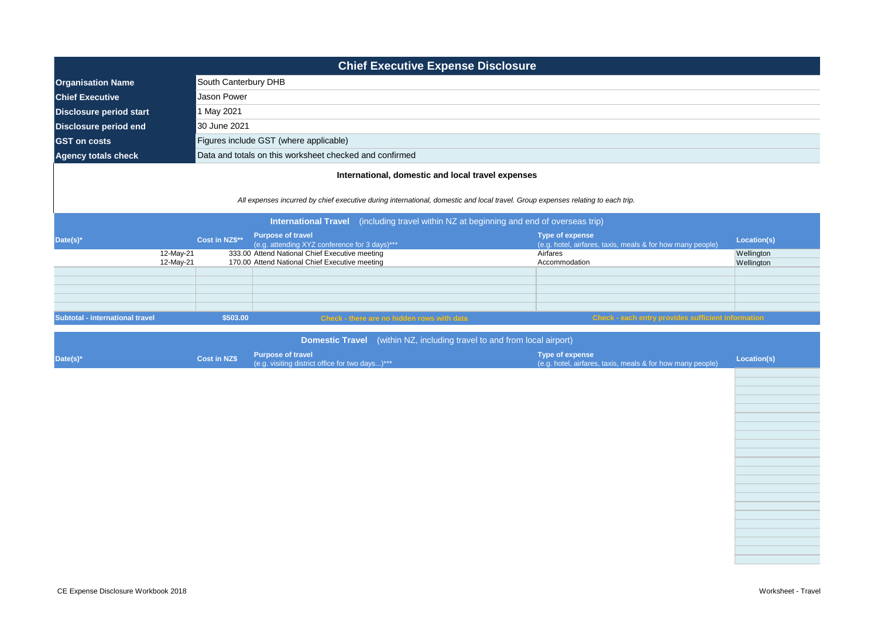| <b>Chief Executive Expense Disclosure</b>                                         |                                                                                                                                                                                                                                                                                                                                                                                                                                       |                      |                                                                                                  |                                                                                      |                          |  |
|-----------------------------------------------------------------------------------|---------------------------------------------------------------------------------------------------------------------------------------------------------------------------------------------------------------------------------------------------------------------------------------------------------------------------------------------------------------------------------------------------------------------------------------|----------------------|--------------------------------------------------------------------------------------------------|--------------------------------------------------------------------------------------|--------------------------|--|
| <b>Organisation Name</b>                                                          |                                                                                                                                                                                                                                                                                                                                                                                                                                       | South Canterbury DHB |                                                                                                  |                                                                                      |                          |  |
| <b>Chief Executive</b>                                                            |                                                                                                                                                                                                                                                                                                                                                                                                                                       | <b>Jason Power</b>   |                                                                                                  |                                                                                      |                          |  |
| <b>Disclosure period start</b>                                                    |                                                                                                                                                                                                                                                                                                                                                                                                                                       | 1 May 2021           |                                                                                                  |                                                                                      |                          |  |
| <b>Disclosure period end</b>                                                      |                                                                                                                                                                                                                                                                                                                                                                                                                                       | 30 June 2021         |                                                                                                  |                                                                                      |                          |  |
| <b>GST</b> on costs                                                               |                                                                                                                                                                                                                                                                                                                                                                                                                                       |                      | Figures include GST (where applicable)                                                           |                                                                                      |                          |  |
| <b>Agency totals check</b>                                                        |                                                                                                                                                                                                                                                                                                                                                                                                                                       |                      | Data and totals on this worksheet checked and confirmed                                          |                                                                                      |                          |  |
|                                                                                   |                                                                                                                                                                                                                                                                                                                                                                                                                                       |                      | International, domestic and local travel expenses                                                |                                                                                      |                          |  |
| Date(s)*                                                                          | All expenses incurred by chief executive during international, domestic and local travel. Group expenses relating to each trip.<br>(including travel within $NZ$ at beginning and end of overseas trip)<br><b>International Travel</b><br><b>Purpose of travel</b><br>Type of expense<br>Cost in NZ\$**<br>Location(s)<br>(e.g. attending XYZ conference for 3 days)***<br>(e.g. hotel, airfares, taxis, meals & for how many people) |                      |                                                                                                  |                                                                                      |                          |  |
|                                                                                   | 12-May-21<br>12-May-21                                                                                                                                                                                                                                                                                                                                                                                                                |                      | 333.00 Attend National Chief Executive meeting<br>170.00 Attend National Chief Executive meeting | Airfares<br>Accommodation                                                            | Wellington<br>Wellington |  |
|                                                                                   |                                                                                                                                                                                                                                                                                                                                                                                                                                       |                      |                                                                                                  |                                                                                      |                          |  |
| Subtotal - international travel                                                   |                                                                                                                                                                                                                                                                                                                                                                                                                                       | \$503.00             | Check - there are no hidden rows with data                                                       | <b>Check - each entry provides sufficient information</b>                            |                          |  |
| (within NZ, including travel to and from local airport)<br><b>Domestic Travel</b> |                                                                                                                                                                                                                                                                                                                                                                                                                                       |                      |                                                                                                  |                                                                                      |                          |  |
| Date(s)*                                                                          |                                                                                                                                                                                                                                                                                                                                                                                                                                       | <b>Cost in NZ\$</b>  | <b>Purpose of travel</b><br>(e.g. visiting district office for two days)***                      | <b>Type of expense</b><br>(e.g. hotel, airfares, taxis, meals & for how many people) | Location(s)              |  |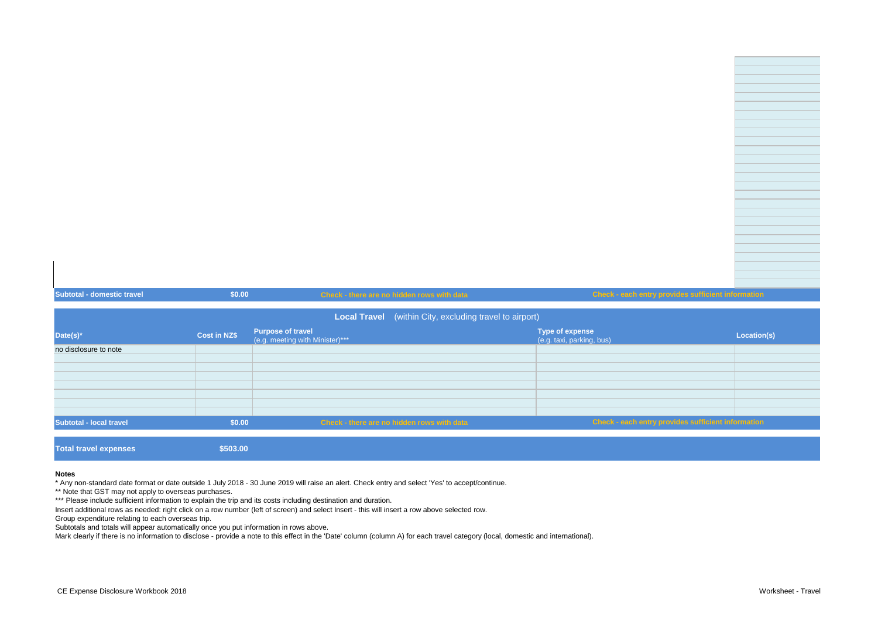| <b>Subtotal - domestic travel</b> | \$0.00       |                                                             | Check - there are no hidden rows with data                     | Check - each entry provides sufficient information |             |
|-----------------------------------|--------------|-------------------------------------------------------------|----------------------------------------------------------------|----------------------------------------------------|-------------|
|                                   |              |                                                             | <b>Local Travel</b> (within City, excluding travel to airport) |                                                    |             |
| Date(s)*                          | Cost in NZ\$ | <b>Purpose of travel</b><br>(e.g. meeting with Minister)*** |                                                                | Type of expense<br>(e.g. taxi, parking, bus)       | Location(s) |

|                              | ______________ | (e.g. meeting with Minister)***            | (e.g. taxi, parking, bus)                          | ____________ |
|------------------------------|----------------|--------------------------------------------|----------------------------------------------------|--------------|
| no disclosure to note        |                |                                            |                                                    |              |
|                              |                |                                            |                                                    |              |
|                              |                |                                            |                                                    |              |
|                              |                |                                            |                                                    |              |
|                              |                |                                            |                                                    |              |
|                              |                |                                            |                                                    |              |
|                              |                |                                            |                                                    |              |
|                              |                |                                            |                                                    |              |
| Subtotal - local travel      | \$0.00         | Check - there are no hidden rows with data | Check - each entry provides sufficient information |              |
|                              |                |                                            |                                                    |              |
| <b>Total travel expenses</b> | \$503.00       |                                            |                                                    |              |

## **Notes**

\* Any non-standard date format or date outside 1 July 2018 - 30 June 2019 will raise an alert. Check entry and select 'Yes' to accept/continue.

\*\* Note that GST may not apply to overseas purchases.

\*\*\* Please include sufficient information to explain the trip and its costs including destination and duration.

Insert additional rows as needed: right click on a row number (left of screen) and select Insert - this will insert a row above selected row.

Group expenditure relating to each overseas trip.

Subtotals and totals will appear automatically once you put information in rows above.

Mark clearly if there is no information to disclose - provide a note to this effect in the 'Date' column (column A) for each travel category (local, domestic and international).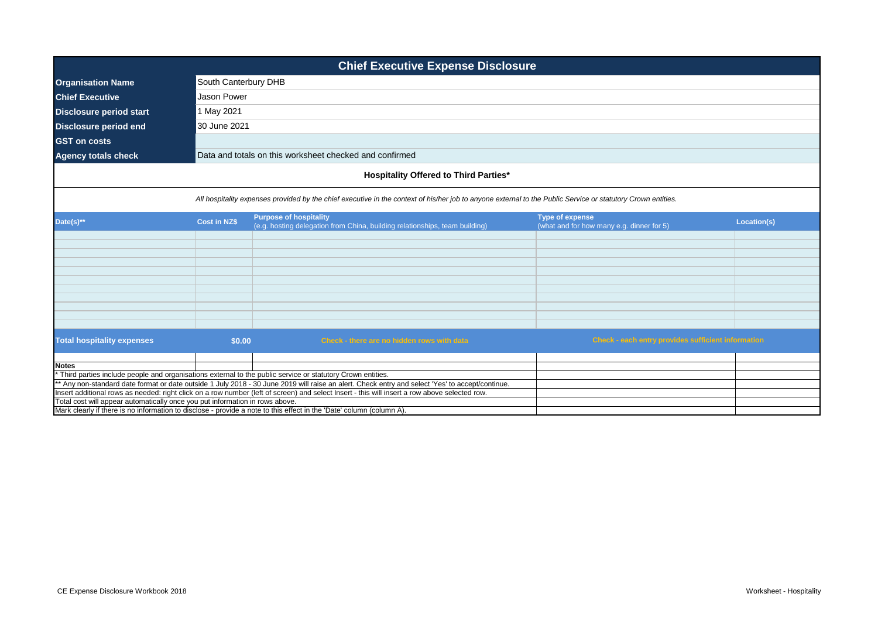| <b>Chief Executive Expense Disclosure</b>                                    |                     |                                                                                                                                                                                                                                                                  |                                                                     |             |  |  |
|------------------------------------------------------------------------------|---------------------|------------------------------------------------------------------------------------------------------------------------------------------------------------------------------------------------------------------------------------------------------------------|---------------------------------------------------------------------|-------------|--|--|
| <b>Organisation Name</b>                                                     |                     | South Canterbury DHB                                                                                                                                                                                                                                             |                                                                     |             |  |  |
| <b>Chief Executive</b>                                                       | <b>Jason Power</b>  |                                                                                                                                                                                                                                                                  |                                                                     |             |  |  |
| <b>Disclosure period start</b>                                               | 1 May 2021          |                                                                                                                                                                                                                                                                  |                                                                     |             |  |  |
| <b>Disclosure period end</b>                                                 | 30 June 2021        |                                                                                                                                                                                                                                                                  |                                                                     |             |  |  |
| <b>GST</b> on costs                                                          |                     |                                                                                                                                                                                                                                                                  |                                                                     |             |  |  |
|                                                                              |                     |                                                                                                                                                                                                                                                                  |                                                                     |             |  |  |
| <b>Agency totals check</b>                                                   |                     | Data and totals on this worksheet checked and confirmed                                                                                                                                                                                                          |                                                                     |             |  |  |
|                                                                              |                     | <b>Hospitality Offered to Third Parties*</b>                                                                                                                                                                                                                     |                                                                     |             |  |  |
|                                                                              |                     | All hospitality expenses provided by the chief executive in the context of his/her job to anyone external to the Public Service or statutory Crown entities.                                                                                                     |                                                                     |             |  |  |
| Date(s)**                                                                    | <b>Cost in NZ\$</b> | <b>Purpose of hospitality</b><br>(e.g. hosting delegation from China, building relationships, team building)                                                                                                                                                     | <b>Type of expense</b><br>(what and for how many e.g. dinner for 5) | Location(s) |  |  |
|                                                                              |                     |                                                                                                                                                                                                                                                                  |                                                                     |             |  |  |
|                                                                              |                     |                                                                                                                                                                                                                                                                  |                                                                     |             |  |  |
|                                                                              |                     |                                                                                                                                                                                                                                                                  |                                                                     |             |  |  |
|                                                                              |                     |                                                                                                                                                                                                                                                                  |                                                                     |             |  |  |
|                                                                              |                     |                                                                                                                                                                                                                                                                  |                                                                     |             |  |  |
|                                                                              |                     |                                                                                                                                                                                                                                                                  |                                                                     |             |  |  |
|                                                                              |                     |                                                                                                                                                                                                                                                                  |                                                                     |             |  |  |
|                                                                              |                     |                                                                                                                                                                                                                                                                  |                                                                     |             |  |  |
|                                                                              |                     |                                                                                                                                                                                                                                                                  |                                                                     |             |  |  |
| <b>Total hospitality expenses</b>                                            | \$0.00              | Check - there are no hidden rows with data                                                                                                                                                                                                                       | <b>Check - each entry provides sufficient information</b>           |             |  |  |
|                                                                              |                     |                                                                                                                                                                                                                                                                  |                                                                     |             |  |  |
| <b>Notes</b>                                                                 |                     |                                                                                                                                                                                                                                                                  |                                                                     |             |  |  |
|                                                                              |                     | * Third parties include people and organisations external to the public service or statutory Crown entities.<br>** Any non-standard date format or date outside 1 July 2018 - 30 June 2019 will raise an alert. Check entry and select 'Yes' to accept/continue. |                                                                     |             |  |  |
|                                                                              |                     | Insert additional rows as needed: right click on a row number (left of screen) and select Insert - this will insert a row above selected row.                                                                                                                    |                                                                     |             |  |  |
| Total cost will appear automatically once you put information in rows above. |                     |                                                                                                                                                                                                                                                                  |                                                                     |             |  |  |
|                                                                              |                     | Mark clearly if there is no information to disclose - provide a note to this effect in the 'Date' column (column A).                                                                                                                                             |                                                                     |             |  |  |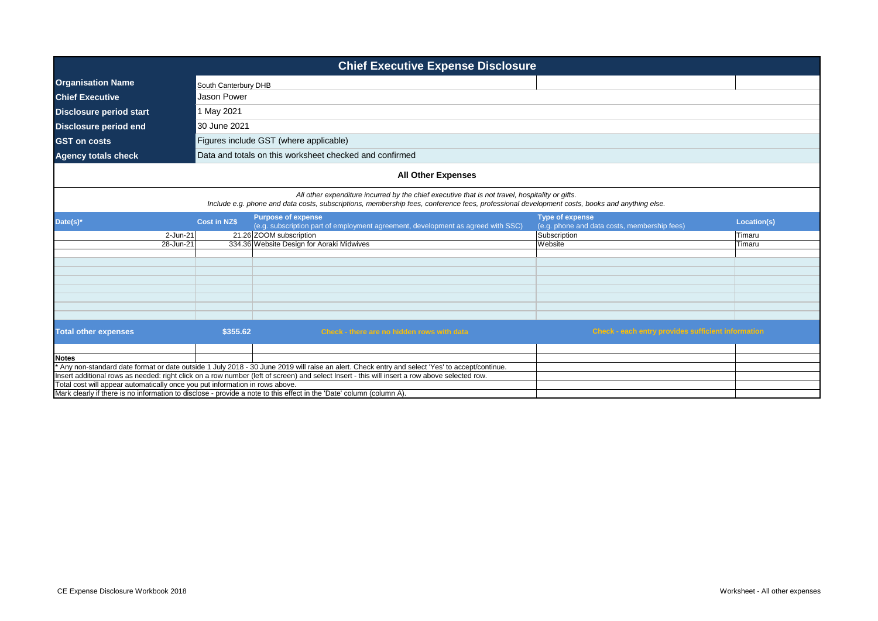| <b>Chief Executive Expense Disclosure</b>                                    |                                                                                                                                                                                                                                                 |                                                                                                                                               |                                                                        |             |  |  |
|------------------------------------------------------------------------------|-------------------------------------------------------------------------------------------------------------------------------------------------------------------------------------------------------------------------------------------------|-----------------------------------------------------------------------------------------------------------------------------------------------|------------------------------------------------------------------------|-------------|--|--|
| <b>Organisation Name</b>                                                     | South Canterbury DHB                                                                                                                                                                                                                            |                                                                                                                                               |                                                                        |             |  |  |
| <b>Chief Executive</b>                                                       | Jason Power                                                                                                                                                                                                                                     |                                                                                                                                               |                                                                        |             |  |  |
| <b>Disclosure period start</b>                                               | 1 May 2021                                                                                                                                                                                                                                      |                                                                                                                                               |                                                                        |             |  |  |
| <b>Disclosure period end</b>                                                 | 30 June 2021                                                                                                                                                                                                                                    |                                                                                                                                               |                                                                        |             |  |  |
| <b>GST on costs</b>                                                          |                                                                                                                                                                                                                                                 | Figures include GST (where applicable)                                                                                                        |                                                                        |             |  |  |
|                                                                              |                                                                                                                                                                                                                                                 |                                                                                                                                               |                                                                        |             |  |  |
| <b>Agency totals check</b>                                                   |                                                                                                                                                                                                                                                 | Data and totals on this worksheet checked and confirmed                                                                                       |                                                                        |             |  |  |
|                                                                              |                                                                                                                                                                                                                                                 | <b>All Other Expenses</b>                                                                                                                     |                                                                        |             |  |  |
|                                                                              | All other expenditure incurred by the chief executive that is not travel, hospitality or gifts.<br>Include e.g. phone and data costs, subscriptions, membership fees, conference fees, professional development costs, books and anything else. |                                                                                                                                               |                                                                        |             |  |  |
| Date(s)*                                                                     | <b>Cost in NZ\$</b>                                                                                                                                                                                                                             | <b>Purpose of expense</b><br>(e.g. subscription part of employment agreement, development as agreed with SSC)                                 | <b>Type of expense</b><br>(e.g. phone and data costs, membership fees) | Location(s) |  |  |
| 2-Jun-21                                                                     |                                                                                                                                                                                                                                                 | 21.26 ZOOM subscription                                                                                                                       | Subscription                                                           | Timaru      |  |  |
| 28-Jun-21                                                                    |                                                                                                                                                                                                                                                 | 334.36 Website Design for Aoraki Midwives                                                                                                     | Website                                                                | Timaru      |  |  |
|                                                                              |                                                                                                                                                                                                                                                 |                                                                                                                                               |                                                                        |             |  |  |
|                                                                              |                                                                                                                                                                                                                                                 |                                                                                                                                               |                                                                        |             |  |  |
|                                                                              |                                                                                                                                                                                                                                                 |                                                                                                                                               |                                                                        |             |  |  |
|                                                                              |                                                                                                                                                                                                                                                 |                                                                                                                                               |                                                                        |             |  |  |
|                                                                              |                                                                                                                                                                                                                                                 |                                                                                                                                               |                                                                        |             |  |  |
|                                                                              |                                                                                                                                                                                                                                                 |                                                                                                                                               |                                                                        |             |  |  |
| <b>Total other expenses</b>                                                  | \$355.62                                                                                                                                                                                                                                        | Check - there are no hidden rows with data                                                                                                    | Check - each entry provides sufficient information                     |             |  |  |
|                                                                              |                                                                                                                                                                                                                                                 |                                                                                                                                               |                                                                        |             |  |  |
| <b>Notes</b>                                                                 |                                                                                                                                                                                                                                                 |                                                                                                                                               |                                                                        |             |  |  |
|                                                                              |                                                                                                                                                                                                                                                 | Any non-standard date format or date outside 1 July 2018 - 30 June 2019 will raise an alert. Check entry and select 'Yes' to accept/continue. |                                                                        |             |  |  |
| Total cost will appear automatically once you put information in rows above. |                                                                                                                                                                                                                                                 | Insert additional rows as needed: right click on a row number (left of screen) and select Insert - this will insert a row above selected row. |                                                                        |             |  |  |
|                                                                              |                                                                                                                                                                                                                                                 | Mark clearly if there is no information to disclose - provide a note to this effect in the 'Date' column (column A).                          |                                                                        |             |  |  |